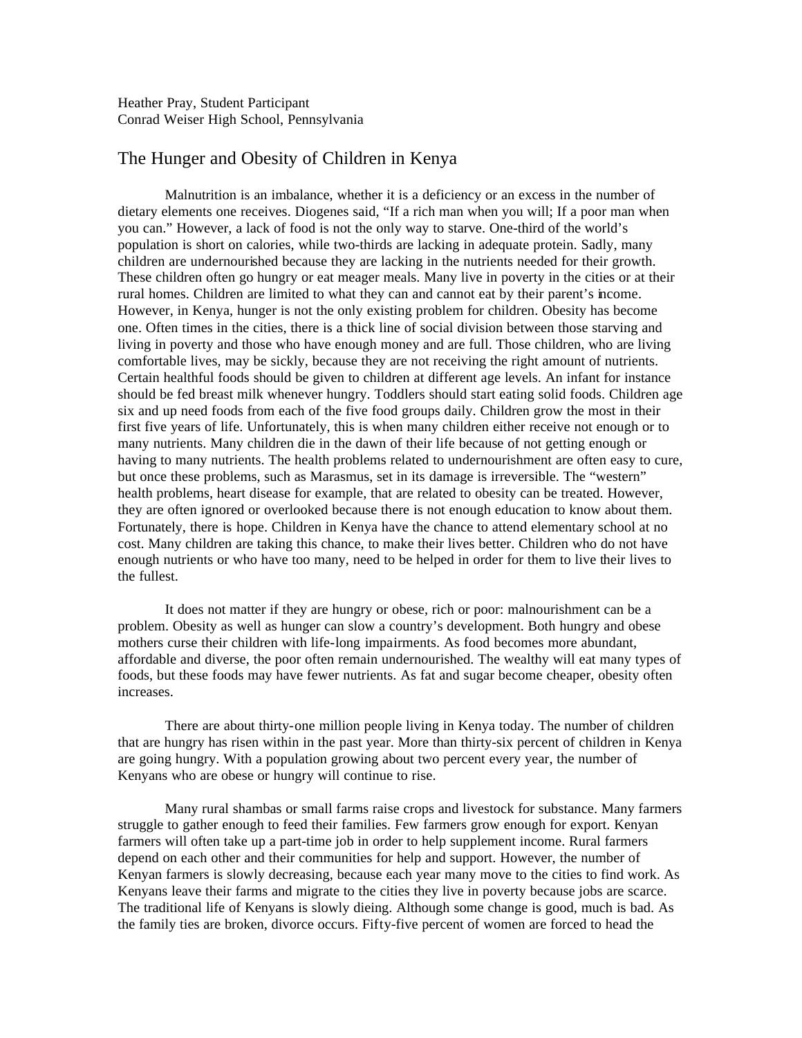Heather Pray, Student Participant Conrad Weiser High School, Pennsylvania

## The Hunger and Obesity of Children in Kenya

Malnutrition is an imbalance, whether it is a deficiency or an excess in the number of dietary elements one receives. Diogenes said, "If a rich man when you will; If a poor man when you can." However, a lack of food is not the only way to starve. One-third of the world's population is short on calories, while two-thirds are lacking in adequate protein. Sadly, many children are undernourished because they are lacking in the nutrients needed for their growth. These children often go hungry or eat meager meals. Many live in poverty in the cities or at their rural homes. Children are limited to what they can and cannot eat by their parent's income. However, in Kenya, hunger is not the only existing problem for children. Obesity has become one. Often times in the cities, there is a thick line of social division between those starving and living in poverty and those who have enough money and are full. Those children, who are living comfortable lives, may be sickly, because they are not receiving the right amount of nutrients. Certain healthful foods should be given to children at different age levels. An infant for instance should be fed breast milk whenever hungry. Toddlers should start eating solid foods. Children age six and up need foods from each of the five food groups daily. Children grow the most in their first five years of life. Unfortunately, this is when many children either receive not enough or to many nutrients. Many children die in the dawn of their life because of not getting enough or having to many nutrients. The health problems related to undernourishment are often easy to cure, but once these problems, such as Marasmus, set in its damage is irreversible. The "western" health problems, heart disease for example, that are related to obesity can be treated. However, they are often ignored or overlooked because there is not enough education to know about them. Fortunately, there is hope. Children in Kenya have the chance to attend elementary school at no cost. Many children are taking this chance, to make their lives better. Children who do not have enough nutrients or who have too many, need to be helped in order for them to live their lives to the fullest.

It does not matter if they are hungry or obese, rich or poor: malnourishment can be a problem. Obesity as well as hunger can slow a country's development. Both hungry and obese mothers curse their children with life-long impairments. As food becomes more abundant, affordable and diverse, the poor often remain undernourished. The wealthy will eat many types of foods, but these foods may have fewer nutrients. As fat and sugar become cheaper, obesity often increases.

There are about thirty-one million people living in Kenya today. The number of children that are hungry has risen within in the past year. More than thirty-six percent of children in Kenya are going hungry. With a population growing about two percent every year, the number of Kenyans who are obese or hungry will continue to rise.

Many rural shambas or small farms raise crops and livestock for substance. Many farmers struggle to gather enough to feed their families. Few farmers grow enough for export. Kenyan farmers will often take up a part-time job in order to help supplement income. Rural farmers depend on each other and their communities for help and support. However, the number of Kenyan farmers is slowly decreasing, because each year many move to the cities to find work. As Kenyans leave their farms and migrate to the cities they live in poverty because jobs are scarce. The traditional life of Kenyans is slowly dieing. Although some change is good, much is bad. As the family ties are broken, divorce occurs. Fifty-five percent of women are forced to head the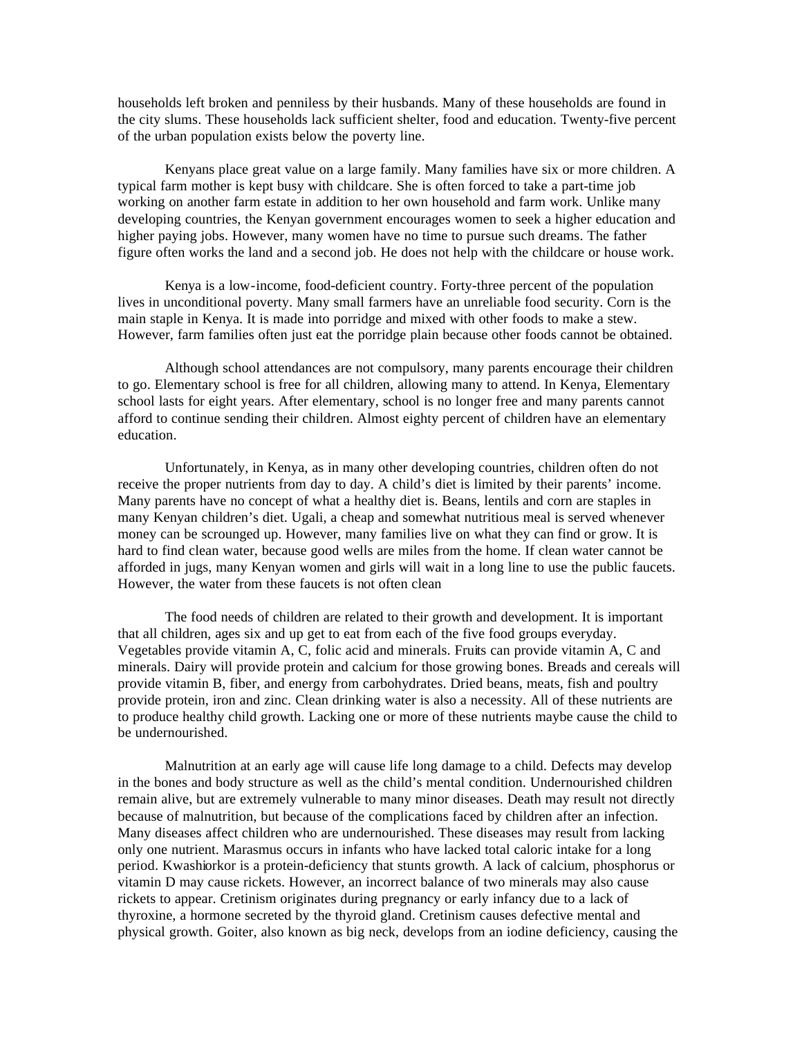households left broken and penniless by their husbands. Many of these households are found in the city slums. These households lack sufficient shelter, food and education. Twenty-five percent of the urban population exists below the poverty line.

Kenyans place great value on a large family. Many families have six or more children. A typical farm mother is kept busy with childcare. She is often forced to take a part-time job working on another farm estate in addition to her own household and farm work. Unlike many developing countries, the Kenyan government encourages women to seek a higher education and higher paying jobs. However, many women have no time to pursue such dreams. The father figure often works the land and a second job. He does not help with the childcare or house work.

Kenya is a low-income, food-deficient country. Forty-three percent of the population lives in unconditional poverty. Many small farmers have an unreliable food security. Corn is the main staple in Kenya. It is made into porridge and mixed with other foods to make a stew. However, farm families often just eat the porridge plain because other foods cannot be obtained.

Although school attendances are not compulsory, many parents encourage their children to go. Elementary school is free for all children, allowing many to attend. In Kenya, Elementary school lasts for eight years. After elementary, school is no longer free and many parents cannot afford to continue sending their children. Almost eighty percent of children have an elementary education.

Unfortunately, in Kenya, as in many other developing countries, children often do not receive the proper nutrients from day to day. A child's diet is limited by their parents' income. Many parents have no concept of what a healthy diet is. Beans, lentils and corn are staples in many Kenyan children's diet. Ugali, a cheap and somewhat nutritious meal is served whenever money can be scrounged up. However, many families live on what they can find or grow. It is hard to find clean water, because good wells are miles from the home. If clean water cannot be afforded in jugs, many Kenyan women and girls will wait in a long line to use the public faucets. However, the water from these faucets is not often clean

The food needs of children are related to their growth and development. It is important that all children, ages six and up get to eat from each of the five food groups everyday. Vegetables provide vitamin A, C, folic acid and minerals. Fruits can provide vitamin A, C and minerals. Dairy will provide protein and calcium for those growing bones. Breads and cereals will provide vitamin B, fiber, and energy from carbohydrates. Dried beans, meats, fish and poultry provide protein, iron and zinc. Clean drinking water is also a necessity. All of these nutrients are to produce healthy child growth. Lacking one or more of these nutrients maybe cause the child to be undernourished.

Malnutrition at an early age will cause life long damage to a child. Defects may develop in the bones and body structure as well as the child's mental condition. Undernourished children remain alive, but are extremely vulnerable to many minor diseases. Death may result not directly because of malnutrition, but because of the complications faced by children after an infection. Many diseases affect children who are undernourished. These diseases may result from lacking only one nutrient. Marasmus occurs in infants who have lacked total caloric intake for a long period. Kwashiorkor is a protein-deficiency that stunts growth. A lack of calcium, phosphorus or vitamin D may cause rickets. However, an incorrect balance of two minerals may also cause rickets to appear. Cretinism originates during pregnancy or early infancy due to a lack of thyroxine, a hormone secreted by the thyroid gland. Cretinism causes defective mental and physical growth. Goiter, also known as big neck, develops from an iodine deficiency, causing the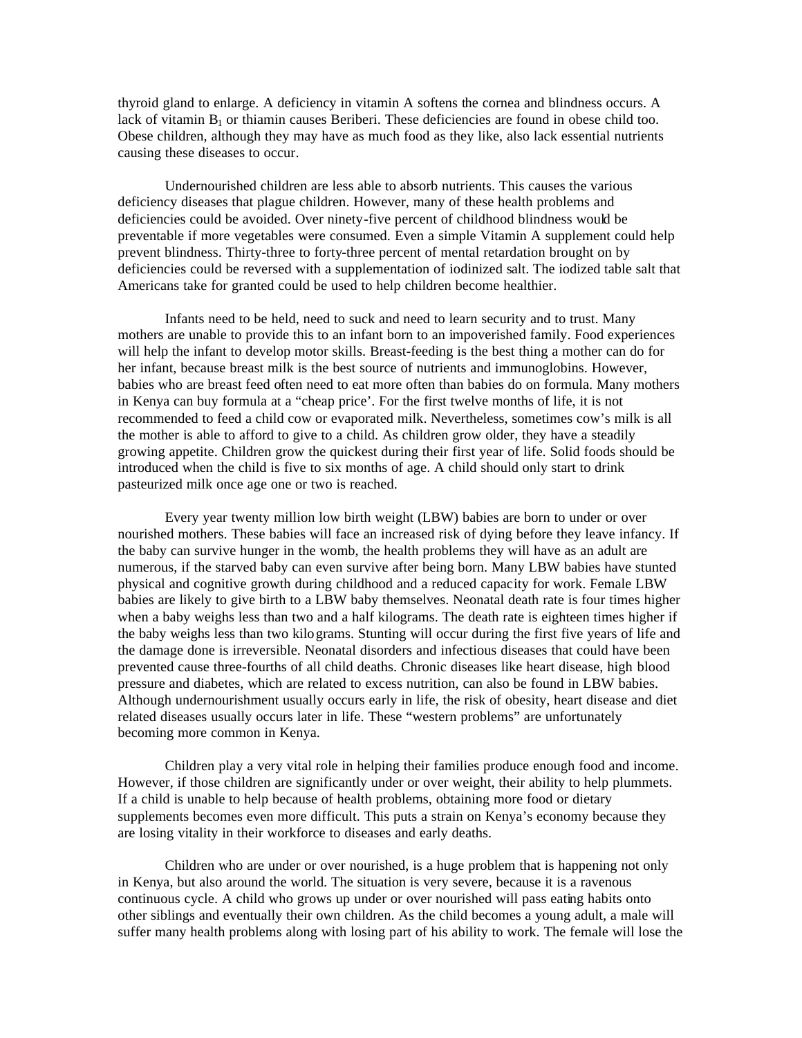thyroid gland to enlarge. A deficiency in vitamin A softens the cornea and blindness occurs. A lack of vitamin  $B_1$  or thiamin causes Beriberi. These deficiencies are found in obese child too. Obese children, although they may have as much food as they like, also lack essential nutrients causing these diseases to occur.

Undernourished children are less able to absorb nutrients. This causes the various deficiency diseases that plague children. However, many of these health problems and deficiencies could be avoided. Over ninety-five percent of childhood blindness would be preventable if more vegetables were consumed. Even a simple Vitamin A supplement could help prevent blindness. Thirty-three to forty-three percent of mental retardation brought on by deficiencies could be reversed with a supplementation of iodinized salt. The iodized table salt that Americans take for granted could be used to help children become healthier.

Infants need to be held, need to suck and need to learn security and to trust. Many mothers are unable to provide this to an infant born to an impoverished family. Food experiences will help the infant to develop motor skills. Breast-feeding is the best thing a mother can do for her infant, because breast milk is the best source of nutrients and immunoglobins. However, babies who are breast feed often need to eat more often than babies do on formula. Many mothers in Kenya can buy formula at a "cheap price'. For the first twelve months of life, it is not recommended to feed a child cow or evaporated milk. Nevertheless, sometimes cow's milk is all the mother is able to afford to give to a child. As children grow older, they have a steadily growing appetite. Children grow the quickest during their first year of life. Solid foods should be introduced when the child is five to six months of age. A child should only start to drink pasteurized milk once age one or two is reached.

Every year twenty million low birth weight (LBW) babies are born to under or over nourished mothers. These babies will face an increased risk of dying before they leave infancy. If the baby can survive hunger in the womb, the health problems they will have as an adult are numerous, if the starved baby can even survive after being born. Many LBW babies have stunted physical and cognitive growth during childhood and a reduced capacity for work. Female LBW babies are likely to give birth to a LBW baby themselves. Neonatal death rate is four times higher when a baby weighs less than two and a half kilograms. The death rate is eighteen times higher if the baby weighs less than two kilograms. Stunting will occur during the first five years of life and the damage done is irreversible. Neonatal disorders and infectious diseases that could have been prevented cause three-fourths of all child deaths. Chronic diseases like heart disease, high blood pressure and diabetes, which are related to excess nutrition, can also be found in LBW babies. Although undernourishment usually occurs early in life, the risk of obesity, heart disease and diet related diseases usually occurs later in life. These "western problems" are unfortunately becoming more common in Kenya.

Children play a very vital role in helping their families produce enough food and income. However, if those children are significantly under or over weight, their ability to help plummets. If a child is unable to help because of health problems, obtaining more food or dietary supplements becomes even more difficult. This puts a strain on Kenya's economy because they are losing vitality in their workforce to diseases and early deaths.

Children who are under or over nourished, is a huge problem that is happening not only in Kenya, but also around the world. The situation is very severe, because it is a ravenous continuous cycle. A child who grows up under or over nourished will pass eating habits onto other siblings and eventually their own children. As the child becomes a young adult, a male will suffer many health problems along with losing part of his ability to work. The female will lose the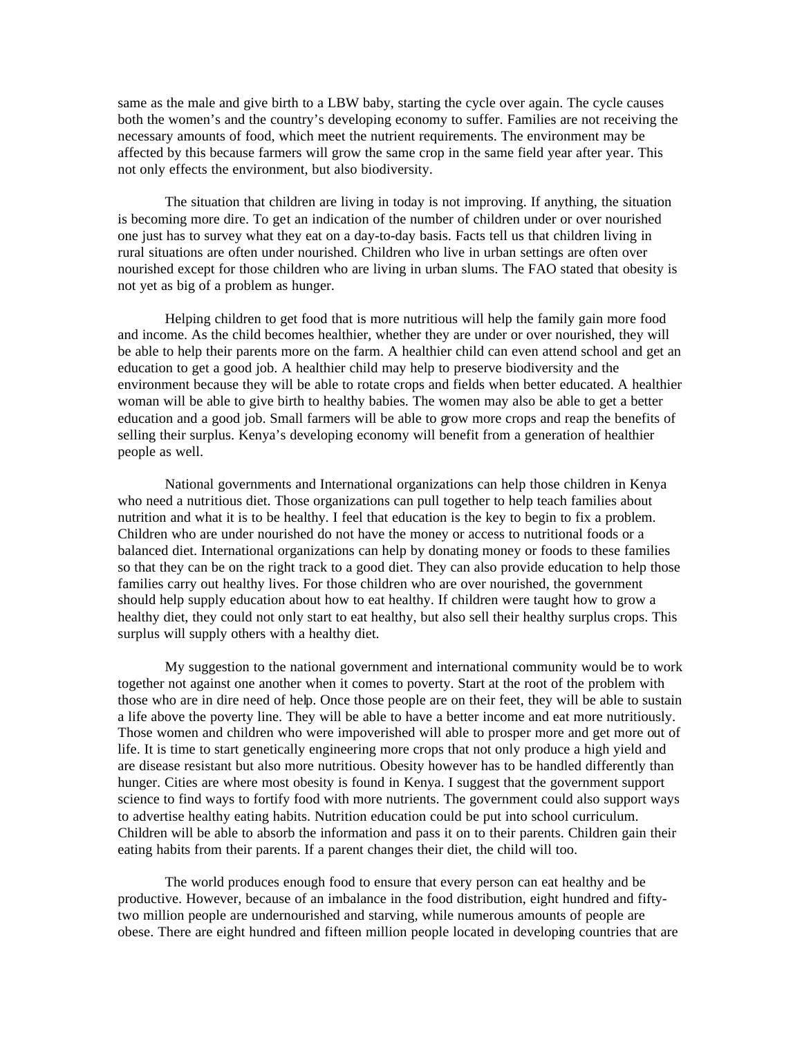same as the male and give birth to a LBW baby, starting the cycle over again. The cycle causes both the women's and the country's developing economy to suffer. Families are not receiving the necessary amounts of food, which meet the nutrient requirements. The environment may be affected by this because farmers will grow the same crop in the same field year after year. This not only effects the environment, but also biodiversity.

The situation that children are living in today is not improving. If anything, the situation is becoming more dire. To get an indication of the number of children under or over nourished one just has to survey what they eat on a day-to-day basis. Facts tell us that children living in rural situations are often under nourished. Children who live in urban settings are often over nourished except for those children who are living in urban slums. The FAO stated that obesity is not yet as big of a problem as hunger.

Helping children to get food that is more nutritious will help the family gain more food and income. As the child becomes healthier, whether they are under or over nourished, they will be able to help their parents more on the farm. A healthier child can even attend school and get an education to get a good job. A healthier child may help to preserve biodiversity and the environment because they will be able to rotate crops and fields when better educated. A healthier woman will be able to give birth to healthy babies. The women may also be able to get a better education and a good job. Small farmers will be able to grow more crops and reap the benefits of selling their surplus. Kenya's developing economy will benefit from a generation of healthier people as well.

National governments and International organizations can help those children in Kenya who need a nutritious diet. Those organizations can pull together to help teach families about nutrition and what it is to be healthy. I feel that education is the key to begin to fix a problem. Children who are under nourished do not have the money or access to nutritional foods or a balanced diet. International organizations can help by donating money or foods to these families so that they can be on the right track to a good diet. They can also provide education to help those families carry out healthy lives. For those children who are over nourished, the government should help supply education about how to eat healthy. If children were taught how to grow a healthy diet, they could not only start to eat healthy, but also sell their healthy surplus crops. This surplus will supply others with a healthy diet.

My suggestion to the national government and international community would be to work together not against one another when it comes to poverty. Start at the root of the problem with those who are in dire need of help. Once those people are on their feet, they will be able to sustain a life above the poverty line. They will be able to have a better income and eat more nutritiously. Those women and children who were impoverished will able to prosper more and get more out of life. It is time to start genetically engineering more crops that not only produce a high yield and are disease resistant but also more nutritious. Obesity however has to be handled differently than hunger. Cities are where most obesity is found in Kenya. I suggest that the government support science to find ways to fortify food with more nutrients. The government could also support ways to advertise healthy eating habits. Nutrition education could be put into school curriculum. Children will be able to absorb the information and pass it on to their parents. Children gain their eating habits from their parents. If a parent changes their diet, the child will too.

The world produces enough food to ensure that every person can eat healthy and be productive. However, because of an imbalance in the food distribution, eight hundred and fiftytwo million people are undernourished and starving, while numerous amounts of people are obese. There are eight hundred and fifteen million people located in developing countries that are